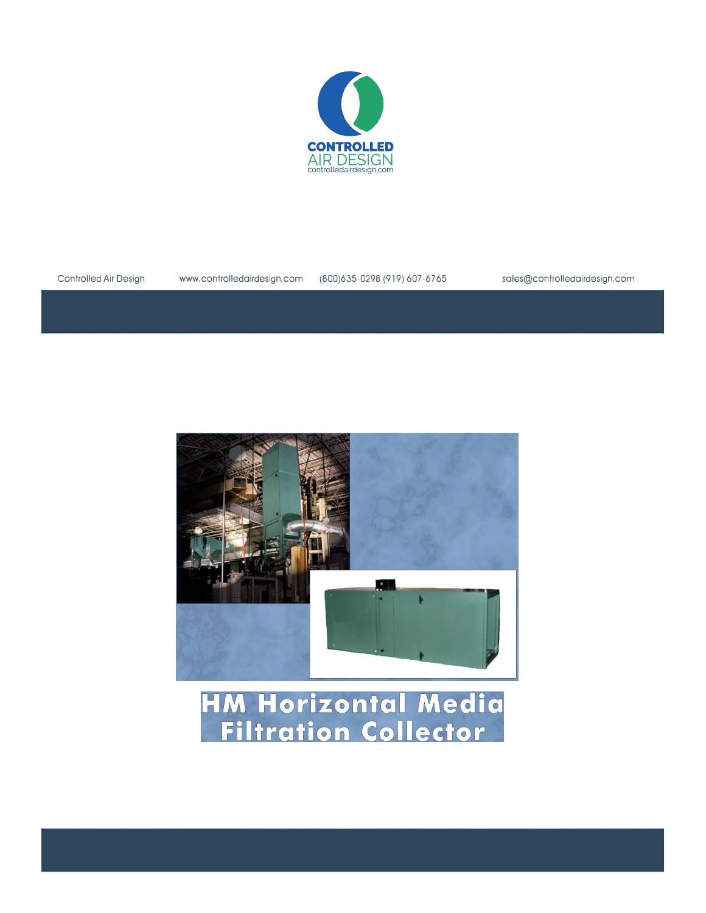





Controlled Air Design www.controlledairdesign.com (800)635-0298 (919) 607-6765 sales@controlledairdesign.com